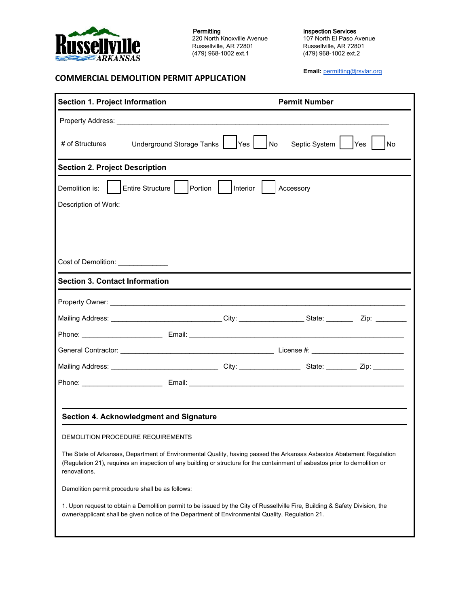

**COMMERCIAL DEMOLITION PERMIT APPLICATION**

Permitting 220 North Knoxville Avenue Russellville, AR 72801 (479) 968-1002 ext.1

Inspection Services 107 North El Paso Avenue Russellville, AR 72801 (479) 968-1002 ext.2

**Email:** [permitting@rsvlar.org](mailto:permittinggroup@rsvlar.org)

| <b>Section 1. Project Information</b>                                                                                                                                                                                                                               |                                                                                                                                                                                                                                      | <b>Permit Number</b> |                                              |                  |
|---------------------------------------------------------------------------------------------------------------------------------------------------------------------------------------------------------------------------------------------------------------------|--------------------------------------------------------------------------------------------------------------------------------------------------------------------------------------------------------------------------------------|----------------------|----------------------------------------------|------------------|
| <b>Property Address:</b> Property Address:                                                                                                                                                                                                                          |                                                                                                                                                                                                                                      |                      |                                              |                  |
| # of Structures                                                                                                                                                                                                                                                     | Underground Storage Tanks                                                                                                                                                                                                            | Yes                  | Septic System<br>$\overline{\phantom{a}}$ No | <b>Yes</b><br>No |
| <b>Section 2. Project Description</b>                                                                                                                                                                                                                               |                                                                                                                                                                                                                                      |                      |                                              |                  |
| Entire Structure<br>Demolition is:<br>Portion  <br>Interior<br>Accessory                                                                                                                                                                                            |                                                                                                                                                                                                                                      |                      |                                              |                  |
| Description of Work:                                                                                                                                                                                                                                                |                                                                                                                                                                                                                                      |                      |                                              |                  |
|                                                                                                                                                                                                                                                                     |                                                                                                                                                                                                                                      |                      |                                              |                  |
|                                                                                                                                                                                                                                                                     |                                                                                                                                                                                                                                      |                      |                                              |                  |
| Cost of Demolition: _____________                                                                                                                                                                                                                                   |                                                                                                                                                                                                                                      |                      |                                              |                  |
| <b>Section 3. Contact Information</b>                                                                                                                                                                                                                               |                                                                                                                                                                                                                                      |                      |                                              |                  |
|                                                                                                                                                                                                                                                                     |                                                                                                                                                                                                                                      |                      |                                              |                  |
| Mailing Address: _______________________________City: ___________________State: __________Zip: ___________                                                                                                                                                          |                                                                                                                                                                                                                                      |                      |                                              |                  |
|                                                                                                                                                                                                                                                                     |                                                                                                                                                                                                                                      |                      |                                              |                  |
|                                                                                                                                                                                                                                                                     | General Contractor: <u>Contractor: Contractor: Contractor: Contractor: Contractor: Contractor: Contractor: Contractor: Contractor: Contractor: Contractor: Contractor: Contractor: Contractor: Contractor: Contractor: Contracto</u> |                      |                                              |                  |
| Mailing Address: __________________________________City: _________________State: ___________Zip: _________                                                                                                                                                          |                                                                                                                                                                                                                                      |                      |                                              |                  |
|                                                                                                                                                                                                                                                                     |                                                                                                                                                                                                                                      |                      |                                              |                  |
|                                                                                                                                                                                                                                                                     |                                                                                                                                                                                                                                      |                      |                                              |                  |
| Section 4. Acknowledgment and Signature                                                                                                                                                                                                                             |                                                                                                                                                                                                                                      |                      |                                              |                  |
| DEMOLITION PROCEDURE REQUIREMENTS                                                                                                                                                                                                                                   |                                                                                                                                                                                                                                      |                      |                                              |                  |
| The State of Arkansas, Department of Environmental Quality, having passed the Arkansas Asbestos Abatement Regulation<br>(Regulation 21), requires an inspection of any building or structure for the containment of asbestos prior to demolition or<br>renovations. |                                                                                                                                                                                                                                      |                      |                                              |                  |
| Demolition permit procedure shall be as follows:                                                                                                                                                                                                                    |                                                                                                                                                                                                                                      |                      |                                              |                  |
| 1. Upon request to obtain a Demolition permit to be issued by the City of Russellville Fire, Building & Safety Division, the<br>owner/applicant shall be given notice of the Department of Environmental Quality, Regulation 21.                                    |                                                                                                                                                                                                                                      |                      |                                              |                  |